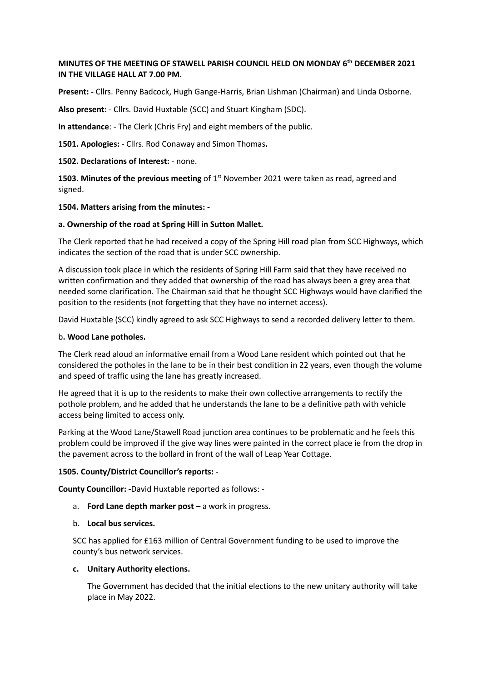## **MINUTES OF THE MEETING OF STAWELL PARISH COUNCIL HELD ON MONDAY 6th DECEMBER 2021 IN THE VILLAGE HALL AT 7.00 PM.**

**Present: -** Cllrs. Penny Badcock, Hugh Gange-Harris, Brian Lishman (Chairman) and Linda Osborne.

**Also present:** - Cllrs. David Huxtable (SCC) and Stuart Kingham (SDC).

**In attendance**: - The Clerk (Chris Fry) and eight members of the public.

**1501. Apologies:** - Cllrs. Rod Conaway and Simon Thomas**.**

#### **1502. Declarations of Interest:** - none.

**1503. Minutes of the previous meeting** of 1<sup>st</sup> November 2021 were taken as read, agreed and signed.

#### **1504. Matters arising from the minutes: -**

#### **a. Ownership of the road at Spring Hill in Sutton Mallet.**

The Clerk reported that he had received a copy of the Spring Hill road plan from SCC Highways, which indicates the section of the road that is under SCC ownership.

A discussion took place in which the residents of Spring Hill Farm said that they have received no written confirmation and they added that ownership of the road has always been a grey area that needed some clarification. The Chairman said that he thought SCC Highways would have clarified the position to the residents (not forgetting that they have no internet access).

David Huxtable (SCC) kindly agreed to ask SCC Highways to send a recorded delivery letter to them.

#### b**. Wood Lane potholes.**

The Clerk read aloud an informative email from a Wood Lane resident which pointed out that he considered the potholes in the lane to be in their best condition in 22 years, even though the volume and speed of traffic using the lane has greatly increased.

He agreed that it is up to the residents to make their own collective arrangements to rectify the pothole problem, and he added that he understands the lane to be a definitive path with vehicle access being limited to access only.

Parking at the Wood Lane/Stawell Road junction area continues to be problematic and he feels this problem could be improved if the give way lines were painted in the correct place ie from the drop in the pavement across to the bollard in front of the wall of Leap Year Cottage.

### **1505. County/District Councillor's reports:** -

**County Councillor: -**David Huxtable reported as follows: -

- a. **Ford Lane depth marker post –** a work in progress.
- b. **Local bus services.**

SCC has applied for £163 million of Central Government funding to be used to improve the county's bus network services.

### **c. Unitary Authority elections.**

The Government has decided that the initial elections to the new unitary authority will take place in May 2022.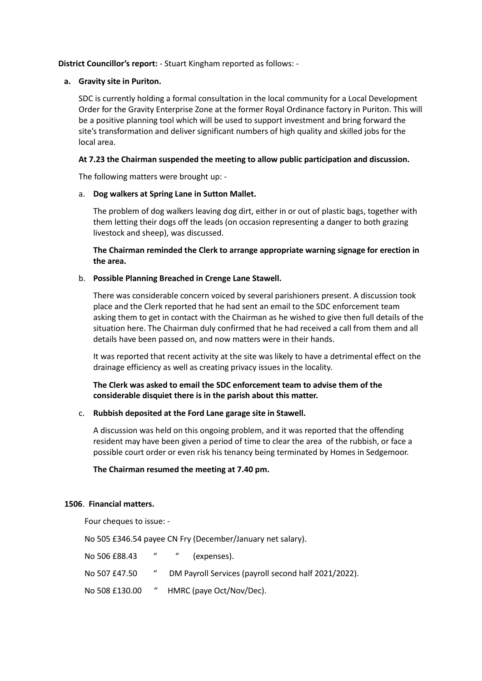### **District Councillor's report:** - Stuart Kingham reported as follows: -

### **a. Gravity site in Puriton.**

SDC is currently holding a formal consultation in the local community for a Local Development Order for the Gravity Enterprise Zone at the former Royal Ordinance factory in Puriton. This will be a positive planning tool which will be used to support investment and bring forward the site's transformation and deliver significant numbers of high quality and skilled jobs for the local area.

## **At 7.23 the Chairman suspended the meeting to allow public participation and discussion.**

The following matters were brought up: -

## a. **Dog walkers at Spring Lane in Sutton Mallet.**

The problem of dog walkers leaving dog dirt, either in or out of plastic bags, together with them letting their dogs off the leads (on occasion representing a danger to both grazing livestock and sheep), was discussed.

**The Chairman reminded the Clerk to arrange appropriate warning signage for erection in the area.**

## b. **Possible Planning Breached in Crenge Lane Stawell.**

There was considerable concern voiced by several parishioners present. A discussion took place and the Clerk reported that he had sent an email to the SDC enforcement team asking them to get in contact with the Chairman as he wished to give then full details of the situation here. The Chairman duly confirmed that he had received a call from them and all details have been passed on, and now matters were in their hands.

It was reported that recent activity at the site was likely to have a detrimental effect on the drainage efficiency as well as creating privacy issues in the locality.

**The Clerk was asked to email the SDC enforcement team to advise them of the considerable disquiet there is in the parish about this matter.**

# c. **Rubbish deposited at the Ford Lane garage site in Stawell.**

A discussion was held on this ongoing problem, and it was reported that the offending resident may have been given a period of time to clear the area of the rubbish, or face a possible court order or even risk his tenancy being terminated by Homes in Sedgemoor.

### **The Chairman resumed the meeting at 7.40 pm.**

### **1506**. **Financial matters.**

Four cheques to issue: -

No 505 £346.54 payee CN Fry (December/January net salary).

| No 506 £88.43  | $\boldsymbol{u}$ | (expenses).                                          |
|----------------|------------------|------------------------------------------------------|
| No 507 £47.50  | $\boldsymbol{u}$ | DM Payroll Services (payroll second half 2021/2022). |
| No 508 £130.00 | $\boldsymbol{a}$ | HMRC (paye Oct/Nov/Dec).                             |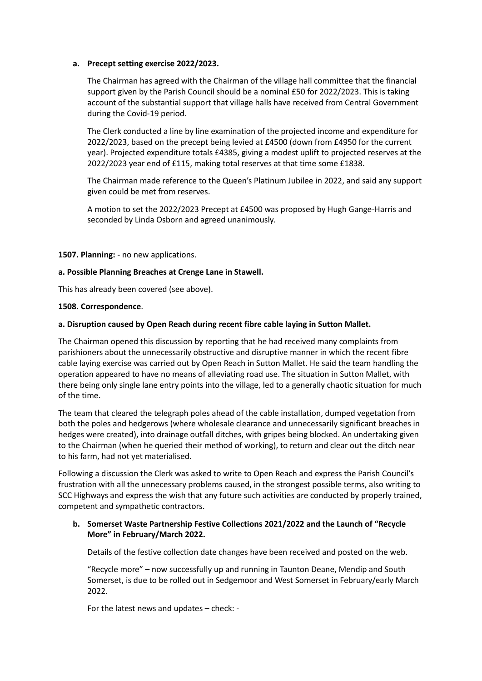### **a. Precept setting exercise 2022/2023.**

The Chairman has agreed with the Chairman of the village hall committee that the financial support given by the Parish Council should be a nominal £50 for 2022/2023. This is taking account of the substantial support that village halls have received from Central Government during the Covid-19 period.

The Clerk conducted a line by line examination of the projected income and expenditure for 2022/2023, based on the precept being levied at £4500 (down from £4950 for the current year). Projected expenditure totals £4385, giving a modest uplift to projected reserves at the 2022/2023 year end of £115, making total reserves at that time some £1838.

The Chairman made reference to the Queen's Platinum Jubilee in 2022, and said any support given could be met from reserves.

A motion to set the 2022/2023 Precept at £4500 was proposed by Hugh Gange-Harris and seconded by Linda Osborn and agreed unanimously.

**1507. Planning:** - no new applications.

### **a. Possible Planning Breaches at Crenge Lane in Stawell.**

This has already been covered (see above).

#### **1508. Correspondence**.

#### **a. Disruption caused by Open Reach during recent fibre cable laying in Sutton Mallet.**

The Chairman opened this discussion by reporting that he had received many complaints from parishioners about the unnecessarily obstructive and disruptive manner in which the recent fibre cable laying exercise was carried out by Open Reach in Sutton Mallet. He said the team handling the operation appeared to have no means of alleviating road use. The situation in Sutton Mallet, with there being only single lane entry points into the village, led to a generally chaotic situation for much of the time.

The team that cleared the telegraph poles ahead of the cable installation, dumped vegetation from both the poles and hedgerows (where wholesale clearance and unnecessarily significant breaches in hedges were created), into drainage outfall ditches, with gripes being blocked. An undertaking given to the Chairman (when he queried their method of working), to return and clear out the ditch near to his farm, had not yet materialised.

Following a discussion the Clerk was asked to write to Open Reach and express the Parish Council's frustration with all the unnecessary problems caused, in the strongest possible terms, also writing to SCC Highways and express the wish that any future such activities are conducted by properly trained, competent and sympathetic contractors.

### **b. Somerset Waste Partnership Festive Collections 2021/2022 and the Launch of "Recycle More" in February/March 2022.**

Details of the festive collection date changes have been received and posted on the web.

"Recycle more" – now successfully up and running in Taunton Deane, Mendip and South Somerset, is due to be rolled out in Sedgemoor and West Somerset in February/early March 2022.

For the latest news and updates – check: -